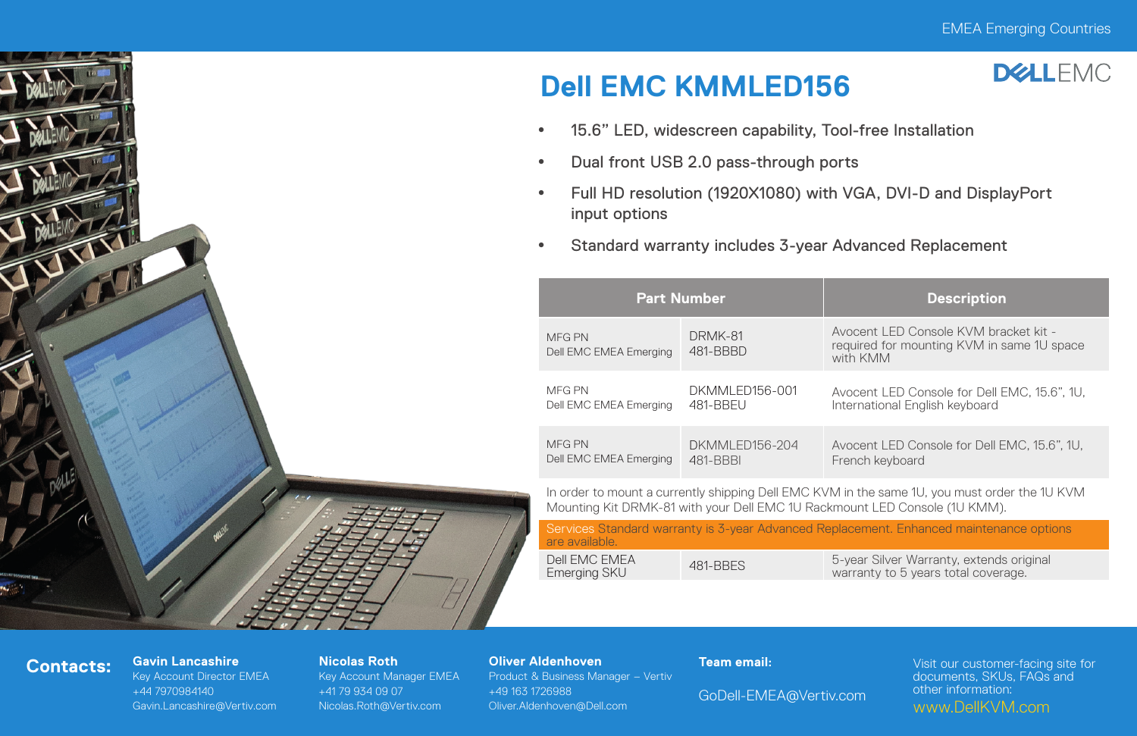

# **Dell EMC KMMLED156**



- \* 15.6" LED, widescreen capability, Tool-free Installation
- Dual front USB 2.0 pass-through ports
- y Full HD resolution (1920X1080) with VGA, DVI-D and DisplayPort input options
- Standard warranty includes 3-year Advanced Replacement

| <b>Part Number</b>               |                     | <b>Description</b>                                                                               |  |  |
|----------------------------------|---------------------|--------------------------------------------------------------------------------------------------|--|--|
| MFG PN<br>Dell EMC EMEA Emerging | DRMK-81<br>481-BBBD | Avocent I FD Console KVM bracket kit -<br>required for mounting KVM in same 1U space<br>with KMM |  |  |
| MFG PN                           | DKMMI FD156-001     | Avocent LED Console for Dell EMC, 15.6", 1U,                                                     |  |  |
| Dell EMC EMEA Emerging           | 481-BBFU            | International English keyboard                                                                   |  |  |
| MFG PN                           | DKMMI FD156-204     | Avocent LED Console for Dell EMC, 15.6", 1U.                                                     |  |  |
| Dell EMC EMEA Emerging           | 481-BBBI            | French keyboard                                                                                  |  |  |

In order to mount a currently shipping Dell EMC KVM in the same 1U, you must order the 1U KVM Mounting Kit DRMK-81 with your Dell EMC 1U Rackmount LED Console (1U KMM).

| Services Standard warranty is 3-year Advanced Replacement. Enhanced maintenance options<br>are available. |          |                                                                                 |  |  |  |  |
|-----------------------------------------------------------------------------------------------------------|----------|---------------------------------------------------------------------------------|--|--|--|--|
| Dell FMC FMFA<br>Emerging SKU                                                                             | 481-BBFS | 5-year Silver Warranty, extends original<br>warranty to 5 years total coverage. |  |  |  |  |

## **Contacts: Gavin Lancashire**

Key Account Director EMEA +44 7970984140 Gavin.Lancashire@Vertiv.com

#### **Nicolas Roth**

Key Account Manager EMEA +41 79 934 09 07 Nicolas.Roth@Vertiv.com

### **Oliver Aldenhoven**

Product & Business Manager – Vertiv +49 163 1726988 Oliver.Aldenhoven@Dell.com

### **Team email:**

GoDell-EMEA@Vertiv.com

Visit our customer-facing site for documents, SKUs, FAQs and other information: www.DellKVM.com